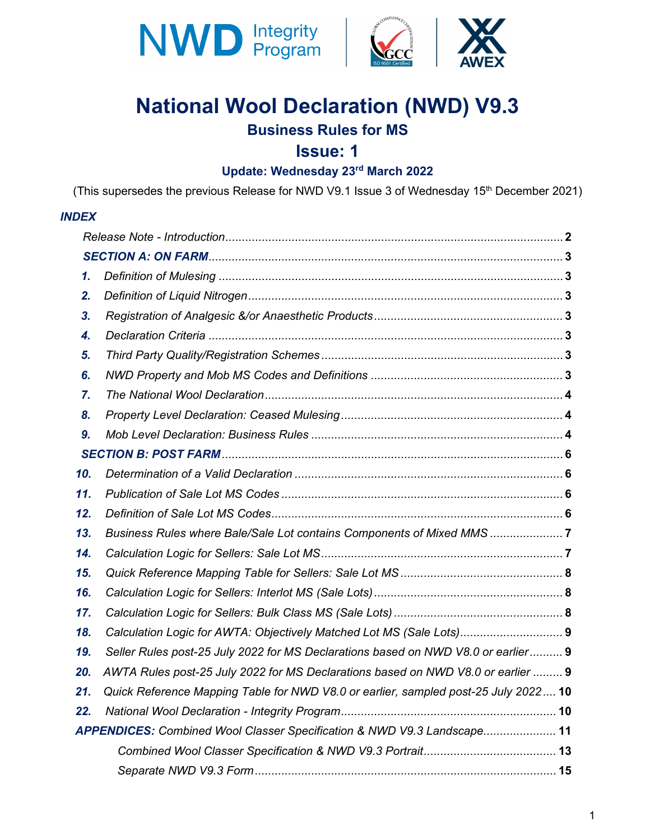



# **National Wool Declaration (NWD) V9.3**

## **Business Rules for MS**

### **Issue: 1**

# **Update: Wednesday 23rd March 2022**

(This supersedes the previous Release for NWD V9.1 Issue 3 of Wednesday 15<sup>th</sup> December 2021)

#### *INDEX*

| $\mathbf{1}$ . |                                                                                     |  |
|----------------|-------------------------------------------------------------------------------------|--|
| 2.             |                                                                                     |  |
| 3.             |                                                                                     |  |
| 4.             |                                                                                     |  |
| 5.             |                                                                                     |  |
| 6.             |                                                                                     |  |
| 7.             |                                                                                     |  |
| 8.             |                                                                                     |  |
| 9.             |                                                                                     |  |
|                |                                                                                     |  |
| 10.            |                                                                                     |  |
| 11.            |                                                                                     |  |
| 12.            |                                                                                     |  |
| 13.            | Business Rules where Bale/Sale Lot contains Components of Mixed MMS                 |  |
| 14.            |                                                                                     |  |
| 15.            |                                                                                     |  |
| 16.            |                                                                                     |  |
| 17.            |                                                                                     |  |
| 18.            | Calculation Logic for AWTA: Objectively Matched Lot MS (Sale Lots) 9                |  |
| 19.            | Seller Rules post-25 July 2022 for MS Declarations based on NWD V8.0 or earlier 9   |  |
| 20.            | AWTA Rules post-25 July 2022 for MS Declarations based on NWD V8.0 or earlier  9    |  |
| 21.            | Quick Reference Mapping Table for NWD V8.0 or earlier, sampled post-25 July 2022 10 |  |
| 22.            |                                                                                     |  |
|                | APPENDICES: Combined Wool Classer Specification & NWD V9.3 Landscape 11             |  |
|                |                                                                                     |  |
|                |                                                                                     |  |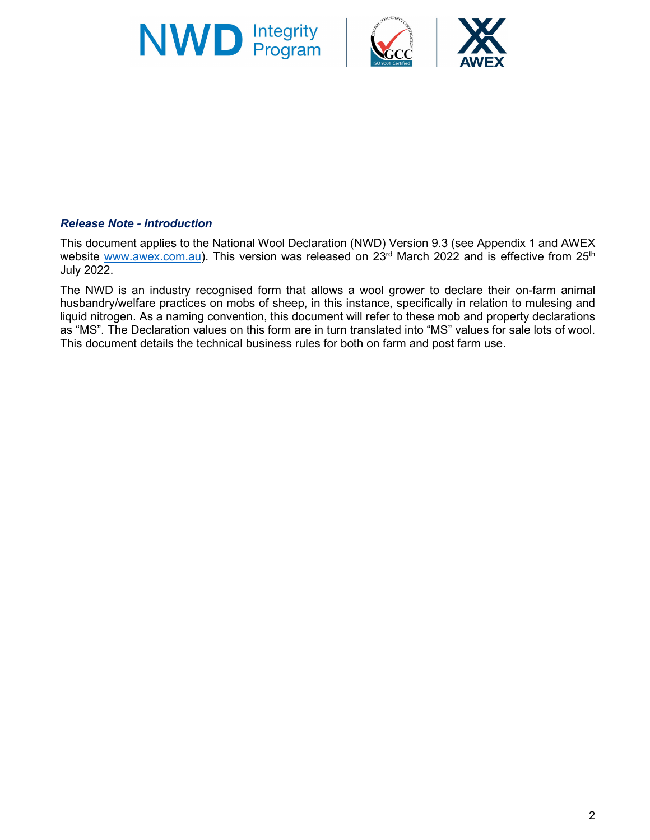





This document applies to the National Wool Declaration (NWD) Version 9.3 (see Appendix 1 and AWEX website [www.awex.com.au\)](http://www.awex.com.au/). This version was released on 23<sup>rd</sup> March 2022 and is effective from 25<sup>th</sup> July 2022.

The NWD is an industry recognised form that allows a wool grower to declare their on-farm animal husbandry/welfare practices on mobs of sheep, in this instance, specifically in relation to mulesing and liquid nitrogen. As a naming convention, this document will refer to these mob and property declarations as "MS". The Declaration values on this form are in turn translated into "MS" values for sale lots of wool. This document details the technical business rules for both on farm and post farm use.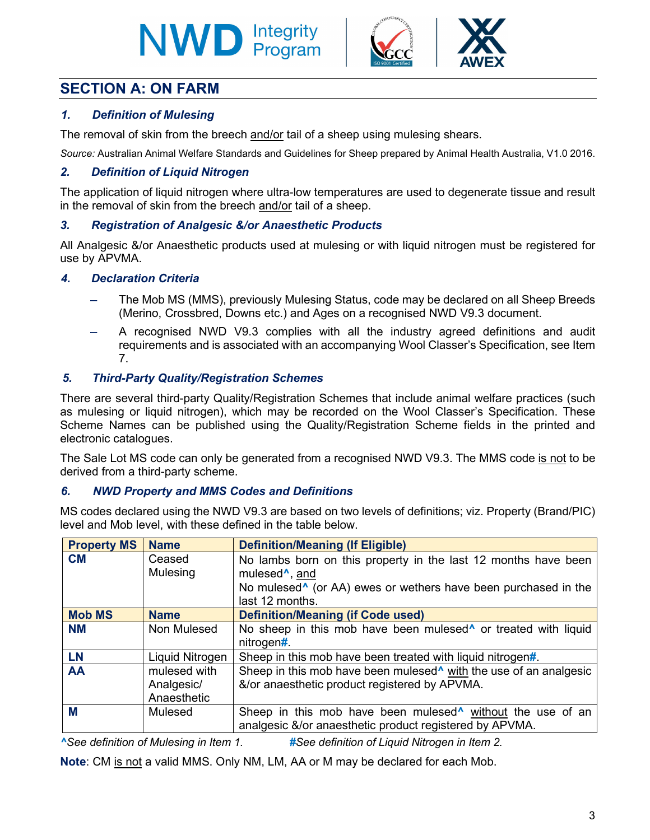# **NWD Integrity**



### **SECTION A: ON FARM**

#### *1. Definition of Mulesing*

The removal of skin from the breech and/or tail of a sheep using mulesing shears.

*Source:* Australian Animal Welfare Standards and Guidelines for Sheep prepared by Animal Health Australia, V1.0 2016.

#### *2. Definition of Liquid Nitrogen*

The application of liquid nitrogen where ultra-low temperatures are used to degenerate tissue and result in the removal of skin from the breech and/or tail of a sheep.

#### *3. Registration of Analgesic &/or Anaesthetic Products*

All Analgesic &/or Anaesthetic products used at mulesing or with liquid nitrogen must be registered for use by APVMA.

#### *4. Declaration Criteria*

- The Mob MS (MMS), previously Mulesing Status, code may be declared on all Sheep Breeds (Merino, Crossbred, Downs etc.) and Ages on a recognised NWD V9.3 document.
- A recognised NWD V9.3 complies with all the industry agreed definitions and audit requirements and is associated with an accompanying Wool Classer's Specification, see Item 7.

#### *5. Third-Party Quality/Registration Schemes*

There are several third-party Quality/Registration Schemes that include animal welfare practices (such as mulesing or liquid nitrogen), which may be recorded on the Wool Classer's Specification. These Scheme Names can be published using the Quality/Registration Scheme fields in the printed and electronic catalogues.

The Sale Lot MS code can only be generated from a recognised NWD V9.3. The MMS code is not to be derived from a third-party scheme.

#### *6. NWD Property and MMS Codes and Definitions*

MS codes declared using the NWD V9.3 are based on two levels of definitions; viz. Property (Brand/PIC) level and Mob level, with these defined in the table below.

| <b>Property MS</b> | <b>Name</b>                               | <b>Definition/Meaning (If Eligible)</b>                                                                                                          |
|--------------------|-------------------------------------------|--------------------------------------------------------------------------------------------------------------------------------------------------|
| <b>CM</b>          | Ceased<br>Mulesing                        | No lambs born on this property in the last 12 months have been<br>mulesed <sup>^</sup> , and                                                     |
|                    |                                           | No mulesed <sup>^</sup> (or AA) ewes or wethers have been purchased in the<br>last 12 months.                                                    |
| <b>Mob MS</b>      | <b>Name</b>                               | <b>Definition/Meaning (if Code used)</b>                                                                                                         |
| <b>NM</b>          | Non Mulesed                               | No sheep in this mob have been mulesed <sup>*</sup> or treated with liquid<br>nitrogen#.                                                         |
| <b>LN</b>          | Liquid Nitrogen                           | Sheep in this mob have been treated with liquid nitrogen#.                                                                                       |
| AA                 | mulesed with<br>Analgesic/<br>Anaesthetic | Sheep in this mob have been mulesed <sup><math>\wedge</math></sup> with the use of an analgesic<br>&/or anaesthetic product registered by APVMA. |
| M                  | Mulesed                                   | Sheep in this mob have been mulesed <sup>^</sup> without the use of an<br>analgesic &/or anaesthetic product registered by APVMA.                |

*^See definition of Mulesing in Item 1. #See definition of Liquid Nitrogen in Item 2.*

**Note**: CM is not a valid MMS. Only NM, LM, AA or M may be declared for each Mob.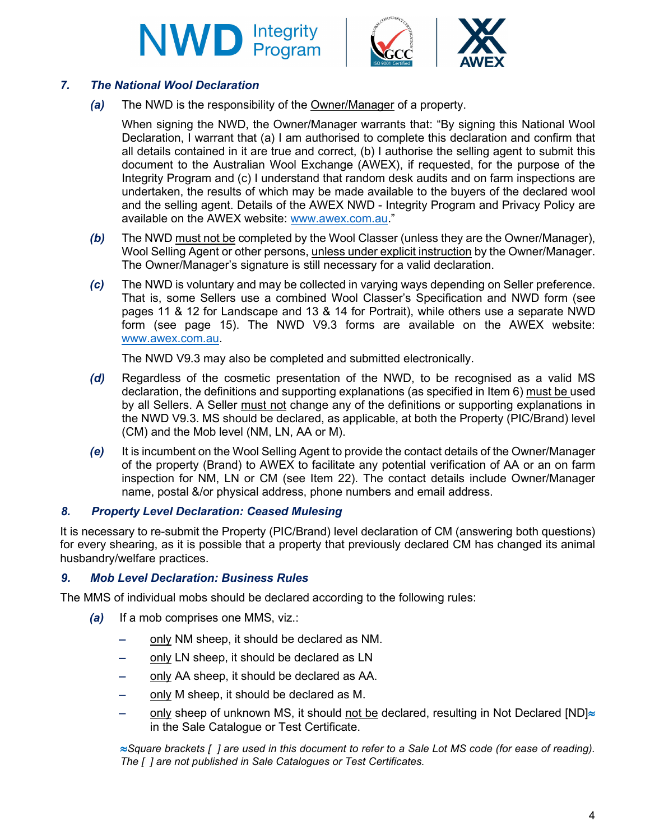



#### *7. The National Wool Declaration*

*(a)* The NWD is the responsibility of the Owner/Manager of a property.

When signing the NWD, the Owner/Manager warrants that: "By signing this National Wool Declaration, I warrant that (a) I am authorised to complete this declaration and confirm that all details contained in it are true and correct, (b) I authorise the selling agent to submit this document to the Australian Wool Exchange (AWEX), if requested, for the purpose of the Integrity Program and (c) I understand that random desk audits and on farm inspections are undertaken, the results of which may be made available to the buyers of the declared wool and the selling agent. Details of the AWEX NWD - Integrity Program and Privacy Policy are available on the AWEX website: [www.awex.com.au.](http://www.awex.com.au/)"

- *(b)* The NWD must not be completed by the Wool Classer (unless they are the Owner/Manager), Wool Selling Agent or other persons, unless under explicit instruction by the Owner/Manager. The Owner/Manager's signature is still necessary for a valid declaration.
- *(c)* The NWD is voluntary and may be collected in varying ways depending on Seller preference. That is, some Sellers use a combined Wool Classer's Specification and NWD form (see pages 11 & 12 for Landscape and 13 & 14 for Portrait), while others use a separate NWD form (see page 15). The NWD V9.3 forms are available on the AWEX website: [www.awex.com.au.](http://www.awex.com.au/)

The NWD V9.3 may also be completed and submitted electronically.

- *(d)* Regardless of the cosmetic presentation of the NWD, to be recognised as a valid MS declaration, the definitions and supporting explanations (as specified in Item 6) must be used by all Sellers. A Seller must not change any of the definitions or supporting explanations in the NWD V9.3. MS should be declared, as applicable, at both the Property (PIC/Brand) level (CM) and the Mob level (NM, LN, AA or M).
- *(e)* It is incumbent on the Wool Selling Agent to provide the contact details of the Owner/Manager of the property (Brand) to AWEX to facilitate any potential verification of AA or an on farm inspection for NM, LN or CM (see Item 22). The contact details include Owner/Manager name, postal &/or physical address, phone numbers and email address.

#### *8. Property Level Declaration: Ceased Mulesing*

It is necessary to re-submit the Property (PIC/Brand) level declaration of CM (answering both questions) for every shearing, as it is possible that a property that previously declared CM has changed its animal husbandry/welfare practices.

#### *9. Mob Level Declaration: Business Rules*

The MMS of individual mobs should be declared according to the following rules:

- *(a)* If a mob comprises one MMS, viz.:
	- − only NM sheep, it should be declared as NM.
	- − only LN sheep, it should be declared as LN
	- − only AA sheep, it should be declared as AA.
	- − only M sheep, it should be declared as M.
	- only sheep of unknown MS, it should not be declared, resulting in Not Declared [ND]≈ in the Sale Catalogue or Test Certificate.

≈*Square brackets [ ] are used in this document to refer to a Sale Lot MS code (for ease of reading). The [ ] are not published in Sale Catalogues or Test Certificates.*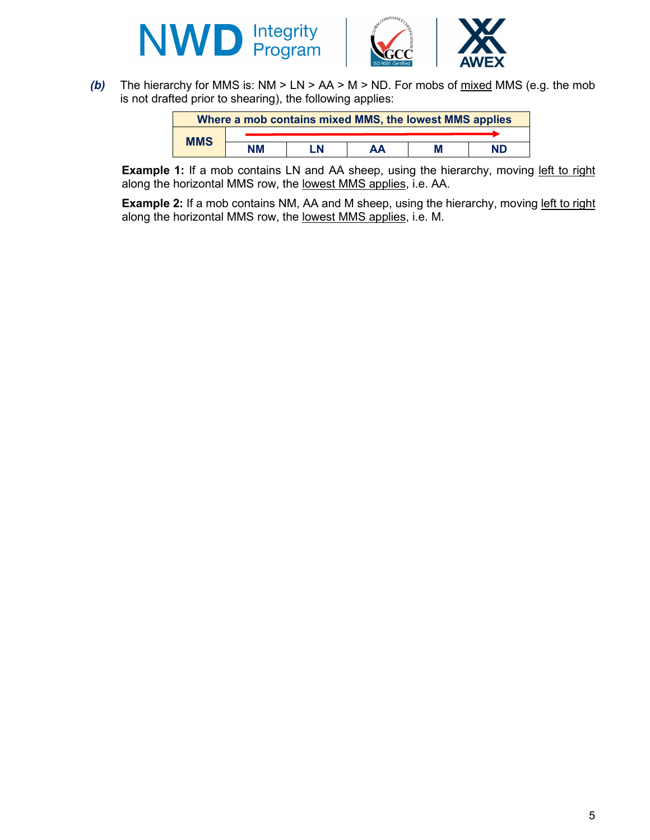



*(b)* The hierarchy for MMS is: NM > LN > AA > M > ND. For mobs of mixed MMS (e.g. the mob is not drafted prior to shearing), the following applies:

|            |    |    | Where a mob contains mixed MMS, the lowest MMS applies |   |     |
|------------|----|----|--------------------------------------------------------|---|-----|
|            |    |    |                                                        |   |     |
| <b>MMS</b> | ΝM | .N | ΑА                                                     | M | ND. |

**Example 1:** If a mob contains LN and AA sheep, using the hierarchy, moving left to right along the horizontal MMS row, the lowest MMS applies, i.e. AA.

**Example 2:** If a mob contains NM, AA and M sheep, using the hierarchy, moving left to right along the horizontal MMS row, the lowest MMS applies, i.e. M.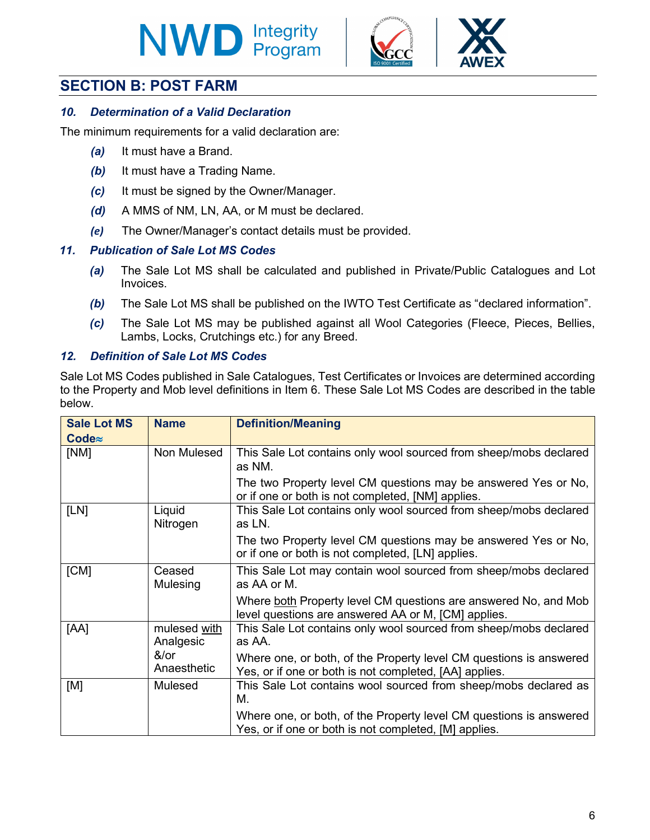# **NWD Integrity**





#### *10. Determination of a Valid Declaration*

The minimum requirements for a valid declaration are:

- *(a)* It must have a Brand.
- *(b)* It must have a Trading Name.
- *(c)* It must be signed by the Owner/Manager.
- *(d)* A MMS of NM, LN, AA, or M must be declared.
- *(e)* The Owner/Manager's contact details must be provided.

#### *11. Publication of Sale Lot MS Codes*

- *(a)* The Sale Lot MS shall be calculated and published in Private/Public Catalogues and Lot Invoices.
- *(b)* The Sale Lot MS shall be published on the IWTO Test Certificate as "declared information".
- *(c)* The Sale Lot MS may be published against all Wool Categories (Fleece, Pieces, Bellies, Lambs, Locks, Crutchings etc.) for any Breed.

#### *12. Definition of Sale Lot MS Codes*

Sale Lot MS Codes published in Sale Catalogues, Test Certificates or Invoices are determined according to the Property and Mob level definitions in Item 6. These Sale Lot MS Codes are described in the table below.

| <b>Sale Lot MS</b><br>$Code\approx$ | <b>Name</b>                  | <b>Definition/Meaning</b>                                                                                                    |  |  |  |  |  |
|-------------------------------------|------------------------------|------------------------------------------------------------------------------------------------------------------------------|--|--|--|--|--|
| [NM]                                | Non Mulesed                  | This Sale Lot contains only wool sourced from sheep/mobs declared<br>as NM.                                                  |  |  |  |  |  |
|                                     |                              | The two Property level CM questions may be answered Yes or No,<br>or if one or both is not completed, [NM] applies.          |  |  |  |  |  |
| [LN]                                | Liquid<br>Nitrogen           | This Sale Lot contains only wool sourced from sheep/mobs declared<br>as LN.                                                  |  |  |  |  |  |
|                                     |                              | The two Property level CM questions may be answered Yes or No,<br>or if one or both is not completed, [LN] applies.          |  |  |  |  |  |
| [CM]                                | Ceased<br><b>Mulesing</b>    | This Sale Lot may contain wool sourced from sheep/mobs declared<br>as AA or M.                                               |  |  |  |  |  |
|                                     |                              | Where both Property level CM questions are answered No, and Mob<br>level questions are answered AA or M, [CM] applies.       |  |  |  |  |  |
| [AA]                                | mulesed with<br>Analgesic    | This Sale Lot contains only wool sourced from sheep/mobs declared<br>as AA.                                                  |  |  |  |  |  |
|                                     | $&\text{/or}$<br>Anaesthetic | Where one, or both, of the Property level CM questions is answered<br>Yes, or if one or both is not completed, [AA] applies. |  |  |  |  |  |
| [M]                                 | Mulesed                      | This Sale Lot contains wool sourced from sheep/mobs declared as<br>М.                                                        |  |  |  |  |  |
|                                     |                              | Where one, or both, of the Property level CM questions is answered<br>Yes, or if one or both is not completed, [M] applies.  |  |  |  |  |  |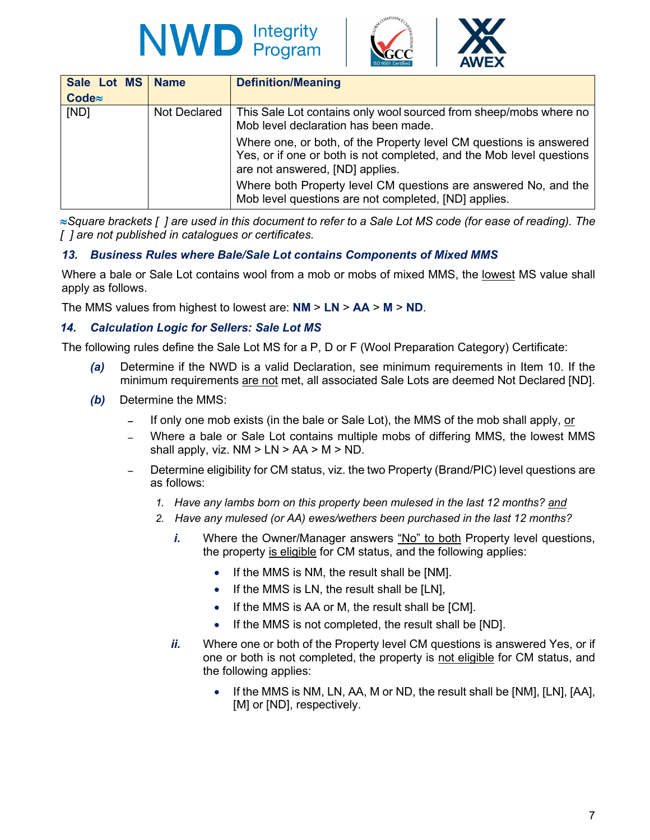





| Sale Lot MS<br>$Code\approx$ | <b>Name</b>  | <b>Definition/Meaning</b>                                                                                                                                                     |
|------------------------------|--------------|-------------------------------------------------------------------------------------------------------------------------------------------------------------------------------|
| [ND]                         | Not Declared | This Sale Lot contains only wool sourced from sheep/mobs where no<br>Mob level declaration has been made.                                                                     |
|                              |              | Where one, or both, of the Property level CM questions is answered<br>Yes, or if one or both is not completed, and the Mob level questions<br>are not answered, [ND] applies. |
|                              |              | Where both Property level CM questions are answered No, and the<br>Mob level questions are not completed, [ND] applies.                                                       |

≈*Square brackets [ ] are used in this document to refer to a Sale Lot MS code (for ease of reading). The [ ] are not published in catalogues or certificates.*

#### *13. Business Rules where Bale/Sale Lot contains Components of Mixed MMS*

Where a bale or Sale Lot contains wool from a mob or mobs of mixed MMS, the lowest MS value shall apply as follows.

The MMS values from highest to lowest are: **NM** > **LN** > **AA** > **M** > **ND**.

#### *14. Calculation Logic for Sellers: Sale Lot MS*

The following rules define the Sale Lot MS for a P, D or F (Wool Preparation Category) Certificate:

- *(a)* Determine if the NWD is a valid Declaration, see minimum requirements in Item 10. If the minimum requirements are not met, all associated Sale Lots are deemed Not Declared [ND].
- *(b)* Determine the MMS:
	- If only one mob exists (in the bale or Sale Lot), the MMS of the mob shall apply, or
	- Where a bale or Sale Lot contains multiple mobs of differing MMS, the lowest MMS shall apply, viz.  $NM > LN > AA > M > ND$ .
	- Determine eligibility for CM status, viz. the two Property (Brand/PIC) level questions are as follows:
		- *1. Have any lambs born on this property been mulesed in the last 12 months? and*
		- *2. Have any mulesed (or AA) ewes/wethers been purchased in the last 12 months?* 
			- *i.* Where the Owner/Manager answers "No" to both Property level questions, the property is eligible for CM status, and the following applies:
				- If the MMS is NM, the result shall be [NM].
				- If the MMS is LN, the result shall be [LN],
				- If the MMS is AA or M, the result shall be [CM].
				- If the MMS is not completed, the result shall be [ND].
			- *ii.* Where one or both of the Property level CM questions is answered Yes, or if one or both is not completed, the property is not eligible for CM status, and the following applies:
				- If the MMS is NM, LN, AA, M or ND, the result shall be [NM], [LN], [AA], [M] or [ND], respectively.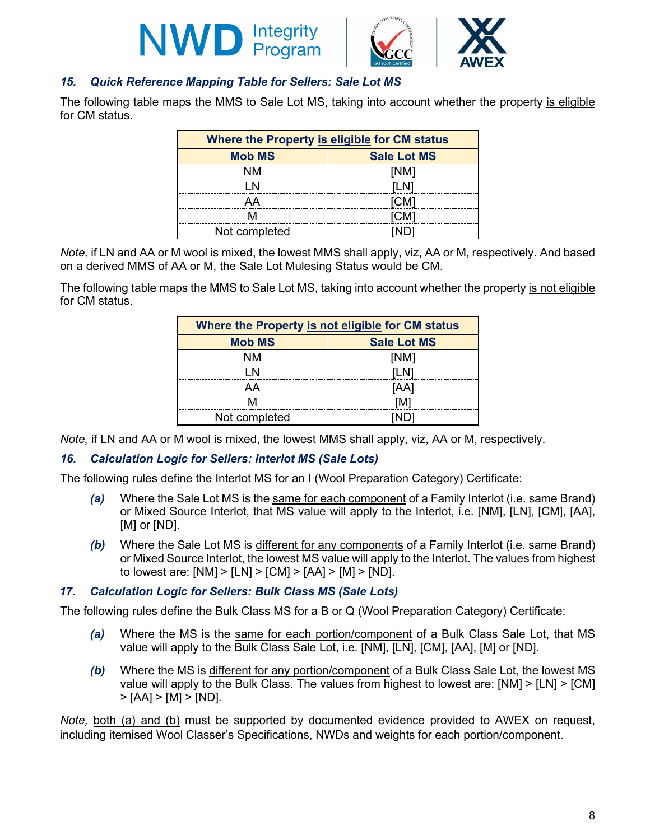





The following table maps the MMS to Sale Lot MS, taking into account whether the property is eligible for CM status.

| Where the Property is eligible for CM status |      |  |  |  |  |  |  |  |  |  |
|----------------------------------------------|------|--|--|--|--|--|--|--|--|--|
| <b>Sale Lot MS</b><br><b>Mob MS</b>          |      |  |  |  |  |  |  |  |  |  |
|                                              | 'NM1 |  |  |  |  |  |  |  |  |  |
|                                              | ILN  |  |  |  |  |  |  |  |  |  |
| ΔА                                           | CM.  |  |  |  |  |  |  |  |  |  |
|                                              |      |  |  |  |  |  |  |  |  |  |
| Not completed                                |      |  |  |  |  |  |  |  |  |  |

*Note,* if LN and AA or M wool is mixed, the lowest MMS shall apply, viz, AA or M, respectively. And based on a derived MMS of AA or M, the Sale Lot Mulesing Status would be CM.

The following table maps the MMS to Sale Lot MS, taking into account whether the property is not eligible for CM status.

| Where the Property is not eligible for CM status |                    |  |  |  |  |  |  |  |  |  |  |
|--------------------------------------------------|--------------------|--|--|--|--|--|--|--|--|--|--|
| <b>Mob MS</b>                                    | <b>Sale Lot MS</b> |  |  |  |  |  |  |  |  |  |  |
| NM                                               | [NM]               |  |  |  |  |  |  |  |  |  |  |
|                                                  | II N               |  |  |  |  |  |  |  |  |  |  |
| ДД                                               | IA A               |  |  |  |  |  |  |  |  |  |  |
|                                                  | [M]                |  |  |  |  |  |  |  |  |  |  |
| Not completed                                    |                    |  |  |  |  |  |  |  |  |  |  |

*Note,* if LN and AA or M wool is mixed, the lowest MMS shall apply, viz, AA or M, respectively.

#### *16. Calculation Logic for Sellers: Interlot MS (Sale Lots)*

The following rules define the Interlot MS for an I (Wool Preparation Category) Certificate:

- *(a)* Where the Sale Lot MS is the same for each component of a Family Interlot (i.e. same Brand) or Mixed Source Interlot, that MS value will apply to the Interlot, i.e. [NM], [LN], [CM], [AA], [M] or [ND].
- *(b)* Where the Sale Lot MS is different for any components of a Family Interlot (i.e. same Brand) or Mixed Source Interlot, the lowest MS value will apply to the Interlot. The values from highest to lowest are:  $[NM]$  >  $[LN]$  >  $[CM]$  >  $[AA]$  >  $[M]$  >  $[ND]$ .

#### *17. Calculation Logic for Sellers: Bulk Class MS (Sale Lots)*

The following rules define the Bulk Class MS for a B or Q (Wool Preparation Category) Certificate:

- *(a)* Where the MS is the same for each portion/component of a Bulk Class Sale Lot, that MS value will apply to the Bulk Class Sale Lot, i.e. [NM], [LN], [CM], [AA], [M] or [ND].
- *(b)* Where the MS is different for any portion/component of a Bulk Class Sale Lot, the lowest MS value will apply to the Bulk Class. The values from highest to lowest are: [NM] > [LN] > [CM]  $>$  [AA]  $>$  [M]  $>$  [ND].

*Note,* both (a) and (b) must be supported by documented evidence provided to AWEX on request, including itemised Wool Classer's Specifications, NWDs and weights for each portion/component.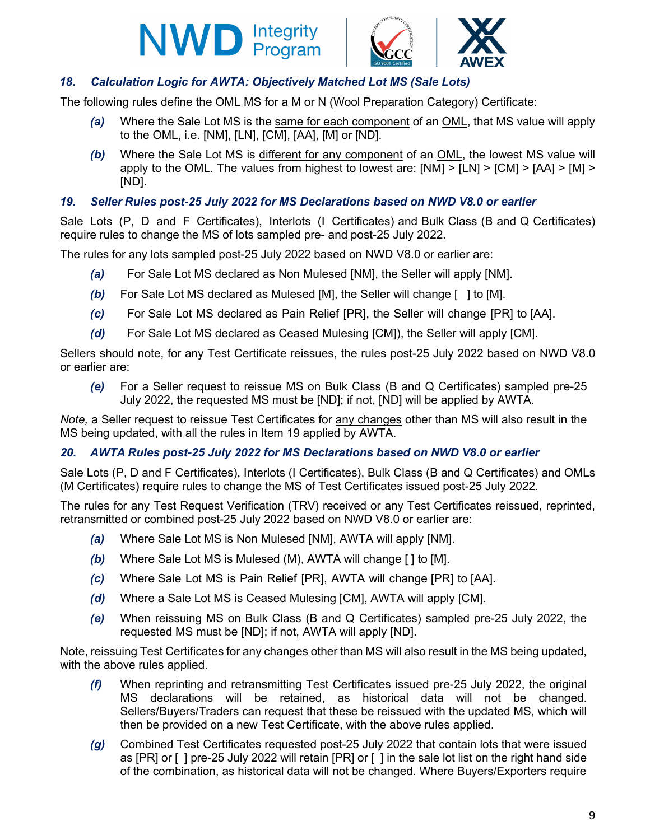



#### *18. Calculation Logic for AWTA: Objectively Matched Lot MS (Sale Lots)*

The following rules define the OML MS for a M or N (Wool Preparation Category) Certificate:

- *(a)* Where the Sale Lot MS is the same for each component of an OML, that MS value will apply to the OML, i.e. [NM], [LN], [CM], [AA], [M] or [ND].
- *(b)* Where the Sale Lot MS is different for any component of an OML, the lowest MS value will apply to the OML. The values from highest to lowest are: [NM] > [LN] > [CM] > [AA] > [M] > [ND].

#### *19. Seller Rules post-25 July 2022 for MS Declarations based on NWD V8.0 or earlier*

Sale Lots (P, D and F Certificates), Interlots (I Certificates) and Bulk Class (B and Q Certificates) require rules to change the MS of lots sampled pre- and post-25 July 2022.

The rules for any lots sampled post-25 July 2022 based on NWD V8.0 or earlier are:

- *(a)* For Sale Lot MS declared as Non Mulesed [NM], the Seller will apply [NM].
- *(b)* For Sale Lot MS declared as Mulesed [M], the Seller will change [ ] to [M].
- *(c)* For Sale Lot MS declared as Pain Relief [PR], the Seller will change [PR] to [AA].
- *(d)* For Sale Lot MS declared as Ceased Mulesing [CM]), the Seller will apply [CM].

Sellers should note, for any Test Certificate reissues, the rules post-25 July 2022 based on NWD V8.0 or earlier are:

*(e)* For a Seller request to reissue MS on Bulk Class (B and Q Certificates) sampled pre-25 July 2022, the requested MS must be [ND]; if not, [ND] will be applied by AWTA.

*Note,* a Seller request to reissue Test Certificates for any changes other than MS will also result in the MS being updated, with all the rules in Item 19 applied by AWTA.

#### *20. AWTA Rules post-25 July 2022 for MS Declarations based on NWD V8.0 or earlier*

Sale Lots (P, D and F Certificates), Interlots (I Certificates), Bulk Class (B and Q Certificates) and OMLs (M Certificates) require rules to change the MS of Test Certificates issued post-25 July 2022.

The rules for any Test Request Verification (TRV) received or any Test Certificates reissued, reprinted, retransmitted or combined post-25 July 2022 based on NWD V8.0 or earlier are:

- *(a)* Where Sale Lot MS is Non Mulesed [NM], AWTA will apply [NM].
- *(b)* Where Sale Lot MS is Mulesed (M), AWTA will change [ ] to [M].
- *(c)* Where Sale Lot MS is Pain Relief [PR], AWTA will change [PR] to [AA].
- *(d)* Where a Sale Lot MS is Ceased Mulesing [CM], AWTA will apply [CM].
- *(e)* When reissuing MS on Bulk Class (B and Q Certificates) sampled pre-25 July 2022, the requested MS must be [ND]; if not, AWTA will apply [ND].

Note, reissuing Test Certificates for any changes other than MS will also result in the MS being updated, with the above rules applied.

- *(f)* When reprinting and retransmitting Test Certificates issued pre-25 July 2022, the original MS declarations will be retained, as historical data will not be changed. Sellers/Buyers/Traders can request that these be reissued with the updated MS, which will then be provided on a new Test Certificate, with the above rules applied.
- *(g)* Combined Test Certificates requested post-25 July 2022 that contain lots that were issued as [PR] or [ ] pre-25 July 2022 will retain [PR] or [ ] in the sale lot list on the right hand side of the combination, as historical data will not be changed. Where Buyers/Exporters require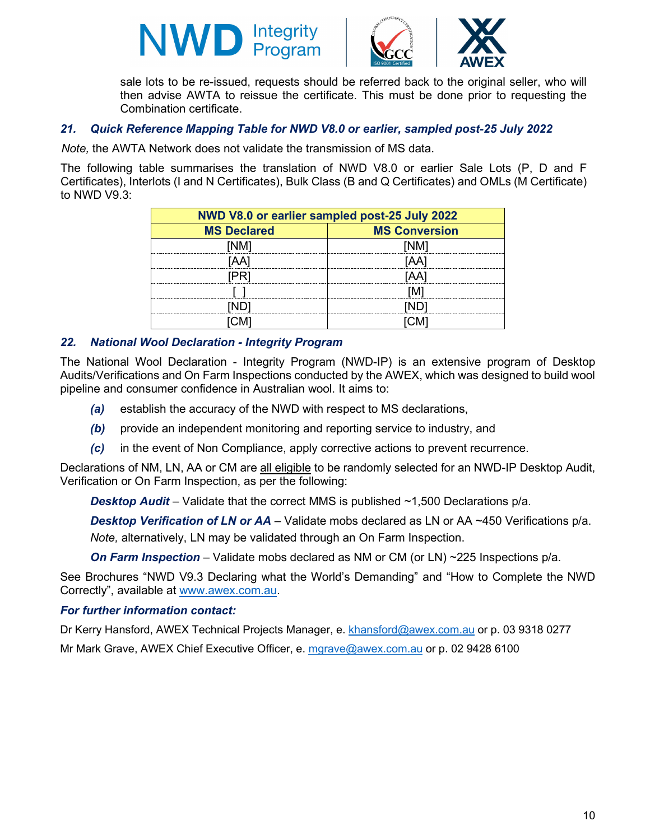



sale lots to be re-issued, requests should be referred back to the original seller, who will then advise AWTA to reissue the certificate. This must be done prior to requesting the Combination certificate.

#### *21. Quick Reference Mapping Table for NWD V8.0 or earlier, sampled post-25 July 2022*

*Note,* the AWTA Network does not validate the transmission of MS data.

The following table summarises the translation of NWD V8.0 or earlier Sale Lots (P, D and F Certificates), Interlots (I and N Certificates), Bulk Class (B and Q Certificates) and OMLs (M Certificate) to NWD V9.3:

| NWD V8.0 or earlier sampled post-25 July 2022 |                      |  |  |  |  |  |  |  |  |  |
|-----------------------------------------------|----------------------|--|--|--|--|--|--|--|--|--|
| <b>MS Declared</b>                            | <b>MS Conversion</b> |  |  |  |  |  |  |  |  |  |
|                                               |                      |  |  |  |  |  |  |  |  |  |
| AA                                            | 'AAı                 |  |  |  |  |  |  |  |  |  |
|                                               |                      |  |  |  |  |  |  |  |  |  |
|                                               |                      |  |  |  |  |  |  |  |  |  |
|                                               |                      |  |  |  |  |  |  |  |  |  |
|                                               |                      |  |  |  |  |  |  |  |  |  |

#### *22. National Wool Declaration - Integrity Program*

The National Wool Declaration - Integrity Program (NWD-IP) is an extensive program of Desktop Audits/Verifications and On Farm Inspections conducted by the AWEX, which was designed to build wool pipeline and consumer confidence in Australian wool. It aims to:

- *(a)* establish the accuracy of the NWD with respect to MS declarations,
- *(b)* provide an independent monitoring and reporting service to industry, and
- *(c)* in the event of Non Compliance, apply corrective actions to prevent recurrence.

Declarations of NM, LN, AA or CM are all eligible to be randomly selected for an NWD-IP Desktop Audit, Verification or On Farm Inspection, as per the following:

*Desktop Audit* – Validate that the correct MMS is published ~1,500 Declarations p/a.

*Desktop Verification of LN or AA* – Validate mobs declared as LN or AA ~450 Verifications p/a.

*Note,* alternatively, LN may be validated through an On Farm Inspection.

*On Farm Inspection* – Validate mobs declared as NM or CM (or LN) ~225 Inspections p/a.

See Brochures "NWD V9.3 Declaring what the World's Demanding" and "How to Complete the NWD Correctly", available at [www.awex.com.au.](http://www.awex.com.au/)

#### *For further information contact:*

Dr Kerry Hansford, AWEX Technical Projects Manager, e. [khansford@awex.com.au](mailto:khansford@awex.com.au) or p. 03 9318 0277

Mr Mark Grave, AWEX Chief Executive Officer, e. [mgrave@awex.com.au](mailto:mgrave@awex.com.au) or p. 02 9428 6100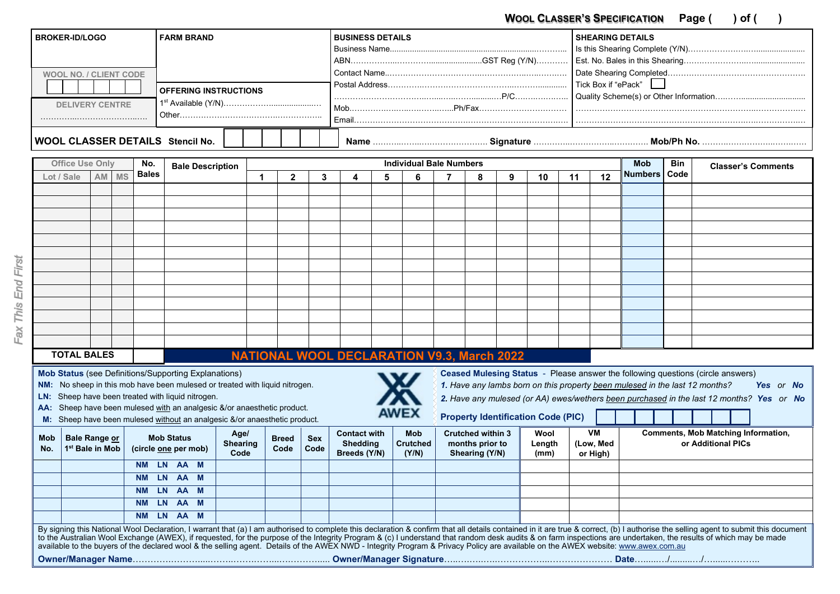WOOL CLASSER'S SPECIFICATION Page ( ) of ( )

| <b>BROKER-ID/LOGO</b>            | <b>FARM BRAND</b>            | I BUSINESS DETAILS | <b>SHEARING DETAILS</b> |  |  |  |  |
|----------------------------------|------------------------------|--------------------|-------------------------|--|--|--|--|
|                                  |                              |                    |                         |  |  |  |  |
|                                  |                              |                    |                         |  |  |  |  |
| <b>WOOL NO. / CLIENT CODE</b>    |                              |                    |                         |  |  |  |  |
|                                  |                              |                    |                         |  |  |  |  |
|                                  | <b>OFFERING INSTRUCTIONS</b> |                    |                         |  |  |  |  |
| <b>DELIVERY CENTRE</b>           |                              |                    |                         |  |  |  |  |
|                                  |                              | Email.             |                         |  |  |  |  |
| WOOL CLASSER DETAILS Stencil No. |                              |                    |                         |  |  |  |  |
|                                  |                              |                    |                         |  |  |  |  |

|                   | <b>Office Use Only</b>                       |      |           | No.          | <b>Bale Description</b>                       |                                                                                                                                                                                                                                                                                         | <b>Individual Bale Numbers</b> |                      |                    |                                                        |   |                                        |  |                                                               |   |                                           |    |                                    | <b>Bin</b>                                                                  | <b>Classer's Comments</b> |                                                                                                                                                                                                                                                                                                                                                                                                                                                    |
|-------------------|----------------------------------------------|------|-----------|--------------|-----------------------------------------------|-----------------------------------------------------------------------------------------------------------------------------------------------------------------------------------------------------------------------------------------------------------------------------------------|--------------------------------|----------------------|--------------------|--------------------------------------------------------|---|----------------------------------------|--|---------------------------------------------------------------|---|-------------------------------------------|----|------------------------------------|-----------------------------------------------------------------------------|---------------------------|----------------------------------------------------------------------------------------------------------------------------------------------------------------------------------------------------------------------------------------------------------------------------------------------------------------------------------------------------------------------------------------------------------------------------------------------------|
|                   | Lot / Sale                                   | AM I | <b>MS</b> | <b>Bales</b> |                                               |                                                                                                                                                                                                                                                                                         | 1                              | $\overline{2}$       | 3                  |                                                        | 5 | 6                                      |  | 8                                                             | 9 | 10                                        | 11 | 12                                 | <b>Numbers</b>                                                              | Code                      |                                                                                                                                                                                                                                                                                                                                                                                                                                                    |
|                   |                                              |      |           |              |                                               |                                                                                                                                                                                                                                                                                         |                                |                      |                    |                                                        |   |                                        |  |                                                               |   |                                           |    |                                    |                                                                             |                           |                                                                                                                                                                                                                                                                                                                                                                                                                                                    |
|                   |                                              |      |           |              |                                               |                                                                                                                                                                                                                                                                                         |                                |                      |                    |                                                        |   |                                        |  |                                                               |   |                                           |    |                                    |                                                                             |                           |                                                                                                                                                                                                                                                                                                                                                                                                                                                    |
|                   |                                              |      |           |              |                                               |                                                                                                                                                                                                                                                                                         |                                |                      |                    |                                                        |   |                                        |  |                                                               |   |                                           |    |                                    |                                                                             |                           |                                                                                                                                                                                                                                                                                                                                                                                                                                                    |
|                   |                                              |      |           |              |                                               |                                                                                                                                                                                                                                                                                         |                                |                      |                    |                                                        |   |                                        |  |                                                               |   |                                           |    |                                    |                                                                             |                           |                                                                                                                                                                                                                                                                                                                                                                                                                                                    |
|                   |                                              |      |           |              |                                               |                                                                                                                                                                                                                                                                                         |                                |                      |                    |                                                        |   |                                        |  |                                                               |   |                                           |    |                                    |                                                                             |                           |                                                                                                                                                                                                                                                                                                                                                                                                                                                    |
|                   |                                              |      |           |              |                                               |                                                                                                                                                                                                                                                                                         |                                |                      |                    |                                                        |   |                                        |  |                                                               |   |                                           |    |                                    |                                                                             |                           |                                                                                                                                                                                                                                                                                                                                                                                                                                                    |
|                   |                                              |      |           |              |                                               |                                                                                                                                                                                                                                                                                         |                                |                      |                    |                                                        |   |                                        |  |                                                               |   |                                           |    |                                    |                                                                             |                           |                                                                                                                                                                                                                                                                                                                                                                                                                                                    |
|                   |                                              |      |           |              |                                               |                                                                                                                                                                                                                                                                                         |                                |                      |                    |                                                        |   |                                        |  |                                                               |   |                                           |    |                                    |                                                                             |                           |                                                                                                                                                                                                                                                                                                                                                                                                                                                    |
|                   |                                              |      |           |              |                                               |                                                                                                                                                                                                                                                                                         |                                |                      |                    |                                                        |   |                                        |  |                                                               |   |                                           |    |                                    |                                                                             |                           |                                                                                                                                                                                                                                                                                                                                                                                                                                                    |
|                   |                                              |      |           |              |                                               |                                                                                                                                                                                                                                                                                         |                                |                      |                    |                                                        |   |                                        |  |                                                               |   |                                           |    |                                    |                                                                             |                           |                                                                                                                                                                                                                                                                                                                                                                                                                                                    |
|                   |                                              |      |           |              |                                               |                                                                                                                                                                                                                                                                                         |                                |                      |                    |                                                        |   |                                        |  |                                                               |   |                                           |    |                                    |                                                                             |                           |                                                                                                                                                                                                                                                                                                                                                                                                                                                    |
|                   |                                              |      |           |              |                                               |                                                                                                                                                                                                                                                                                         |                                |                      |                    |                                                        |   |                                        |  |                                                               |   |                                           |    |                                    |                                                                             |                           |                                                                                                                                                                                                                                                                                                                                                                                                                                                    |
|                   |                                              |      |           |              |                                               |                                                                                                                                                                                                                                                                                         |                                |                      |                    |                                                        |   |                                        |  |                                                               |   |                                           |    |                                    |                                                                             |                           |                                                                                                                                                                                                                                                                                                                                                                                                                                                    |
|                   | <b>TOTAL BALES</b>                           |      |           |              |                                               |                                                                                                                                                                                                                                                                                         |                                |                      |                    | <b>NATIONAL WOOL DECLARATION V9.3, March 2022</b>      |   |                                        |  |                                                               |   |                                           |    |                                    |                                                                             |                           |                                                                                                                                                                                                                                                                                                                                                                                                                                                    |
| NM:<br>LN:<br>AA: |                                              |      |           |              | Sheep have been treated with liquid nitrogen. | <b>Mob Status</b> (see Definitions/Supporting Explanations)<br>No sheep in this mob have been mulesed or treated with liquid nitrogen.<br>Sheep have been mulesed with an analgesic &/or anaesthetic product.<br>Sheep have been mulesed without an analgesic &/or anaesthetic product. |                                |                      |                    |                                                        |   | <b>AWEX</b>                            |  |                                                               |   | <b>Property Identification Code (PIC)</b> |    |                                    | 1. Have any lambs born on this property been mulesed in the last 12 months? |                           | Ceased Mulesing Status - Please answer the following questions (circle answers)<br>Yes or No<br>2. Have any mulesed (or AA) ewes/wethers been purchased in the last 12 months? Yes or No                                                                                                                                                                                                                                                           |
| Mob<br>No.        | Bale Range or<br>1 <sup>st</sup> Bale in Mob |      |           |              | <b>Mob Status</b><br>(circle one per mob)     | Age/<br><b>Shearing</b><br>Code                                                                                                                                                                                                                                                         |                                | <b>Breed</b><br>Code | <b>Sex</b><br>Code | <b>Contact with</b><br><b>Shedding</b><br>Breeds (Y/N) |   | <b>Mob</b><br><b>Crutched</b><br>(Y/N) |  | <b>Crutched within 3</b><br>months prior to<br>Shearing (Y/N) |   | Wool<br>Length<br>(mm)                    |    | <b>VM</b><br>(Low, Med<br>or High) |                                                                             |                           | <b>Comments, Mob Matching Information,</b><br>or Additional PICs                                                                                                                                                                                                                                                                                                                                                                                   |
|                   |                                              |      |           |              | NM LN AA M                                    |                                                                                                                                                                                                                                                                                         |                                |                      |                    |                                                        |   |                                        |  |                                                               |   |                                           |    |                                    |                                                                             |                           |                                                                                                                                                                                                                                                                                                                                                                                                                                                    |
|                   |                                              |      |           | NM LN        | AA M                                          |                                                                                                                                                                                                                                                                                         |                                |                      |                    |                                                        |   |                                        |  |                                                               |   |                                           |    |                                    |                                                                             |                           |                                                                                                                                                                                                                                                                                                                                                                                                                                                    |
|                   |                                              |      |           | NM LN        | AA M                                          |                                                                                                                                                                                                                                                                                         |                                |                      |                    |                                                        |   |                                        |  |                                                               |   |                                           |    |                                    |                                                                             |                           |                                                                                                                                                                                                                                                                                                                                                                                                                                                    |
|                   |                                              |      |           | NM LN        | <b>AA</b>                                     | M                                                                                                                                                                                                                                                                                       |                                |                      |                    |                                                        |   |                                        |  |                                                               |   |                                           |    |                                    |                                                                             |                           |                                                                                                                                                                                                                                                                                                                                                                                                                                                    |
|                   |                                              |      |           |              | NM LN AA M                                    |                                                                                                                                                                                                                                                                                         |                                |                      |                    |                                                        |   |                                        |  |                                                               |   |                                           |    |                                    |                                                                             |                           |                                                                                                                                                                                                                                                                                                                                                                                                                                                    |
|                   |                                              |      |           |              |                                               | available to the buyers of the declared wool & the selling agent. Details of the AWEX NWD - Integrity Program & Privacy Policy are available on the AWEX website: www.awex.com.au                                                                                                       |                                |                      |                    |                                                        |   |                                        |  |                                                               |   |                                           |    |                                    |                                                                             |                           | By signing this National Wool Declaration, I warrant that (a) I am authorised to complete this declaration & confirm that all details contained in it are true & correct, (b) I authorise the selling agent to submit this doc<br>to the Australian Wool Exchange (AWEX), if requested, for the purpose of the Integrity Program & (c) I understand that random desk audits & on farm inspections are undertaken, the results of which may be made |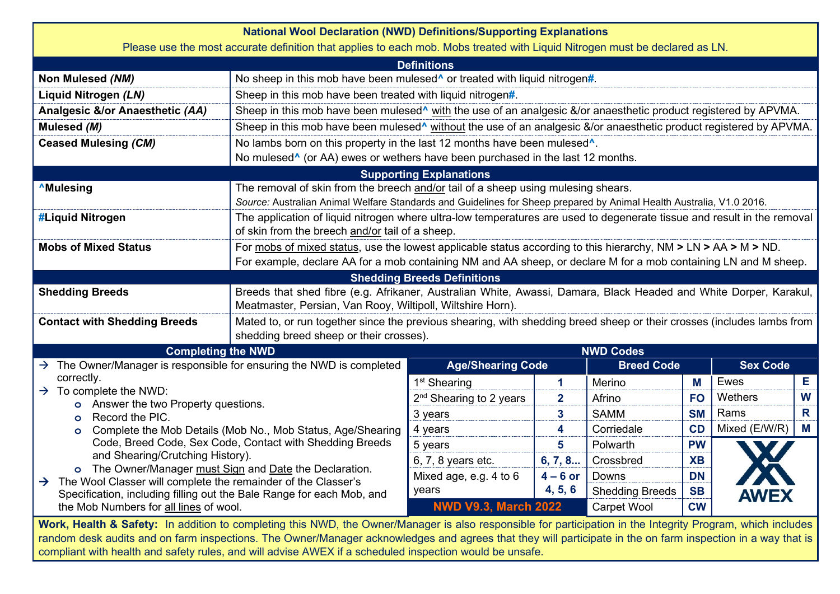| <b>National Wool Declaration (NWD) Definitions/Supporting Explanations</b><br>Please use the most accurate definition that applies to each mob. Mobs treated with Liquid Nitrogen must be declared as LN. |                                                                                                                                                                                 |                                     |                         |                        |           |                 |   |  |  |  |  |  |  |  |
|-----------------------------------------------------------------------------------------------------------------------------------------------------------------------------------------------------------|---------------------------------------------------------------------------------------------------------------------------------------------------------------------------------|-------------------------------------|-------------------------|------------------------|-----------|-----------------|---|--|--|--|--|--|--|--|
|                                                                                                                                                                                                           |                                                                                                                                                                                 | <b>Definitions</b>                  |                         |                        |           |                 |   |  |  |  |  |  |  |  |
| Non Mulesed (NM)                                                                                                                                                                                          | No sheep in this mob have been mulesed <sup><math>\wedge</math></sup> or treated with liquid nitrogen#.                                                                         |                                     |                         |                        |           |                 |   |  |  |  |  |  |  |  |
| Liquid Nitrogen (LN)                                                                                                                                                                                      | Sheep in this mob have been treated with liquid nitrogen#.                                                                                                                      |                                     |                         |                        |           |                 |   |  |  |  |  |  |  |  |
| Analgesic &/or Anaesthetic (AA)                                                                                                                                                                           | Sheep in this mob have been mulesed <sup>^</sup> with the use of an analgesic &/or anaesthetic product registered by APVMA.                                                     |                                     |                         |                        |           |                 |   |  |  |  |  |  |  |  |
| Mulesed (M)                                                                                                                                                                                               | Sheep in this mob have been mulesed <sup>^</sup> without the use of an analgesic &/or anaesthetic product registered by APVMA.                                                  |                                     |                         |                        |           |                 |   |  |  |  |  |  |  |  |
| <b>Ceased Mulesing (CM)</b>                                                                                                                                                                               | No lambs born on this property in the last 12 months have been mulesed <sup>^</sup> .                                                                                           |                                     |                         |                        |           |                 |   |  |  |  |  |  |  |  |
|                                                                                                                                                                                                           | No mulesed <sup>^</sup> (or AA) ewes or wethers have been purchased in the last 12 months.                                                                                      |                                     |                         |                        |           |                 |   |  |  |  |  |  |  |  |
|                                                                                                                                                                                                           |                                                                                                                                                                                 | <b>Supporting Explanations</b>      |                         |                        |           |                 |   |  |  |  |  |  |  |  |
| <b>AMulesing</b>                                                                                                                                                                                          | The removal of skin from the breech and/or tail of a sheep using mulesing shears.                                                                                               |                                     |                         |                        |           |                 |   |  |  |  |  |  |  |  |
|                                                                                                                                                                                                           | Source: Australian Animal Welfare Standards and Guidelines for Sheep prepared by Animal Health Australia, V1.0 2016.                                                            |                                     |                         |                        |           |                 |   |  |  |  |  |  |  |  |
| #Liquid Nitrogen                                                                                                                                                                                          | The application of liquid nitrogen where ultra-low temperatures are used to degenerate tissue and result in the removal<br>of skin from the breech and/or tail of a sheep.      |                                     |                         |                        |           |                 |   |  |  |  |  |  |  |  |
| <b>Mobs of Mixed Status</b>                                                                                                                                                                               | For mobs of mixed status, use the lowest applicable status according to this hierarchy, $NM > LN > AA > M > ND$ .                                                               |                                     |                         |                        |           |                 |   |  |  |  |  |  |  |  |
|                                                                                                                                                                                                           | For example, declare AA for a mob containing NM and AA sheep, or declare M for a mob containing LN and M sheep.                                                                 |                                     |                         |                        |           |                 |   |  |  |  |  |  |  |  |
|                                                                                                                                                                                                           |                                                                                                                                                                                 | <b>Shedding Breeds Definitions</b>  |                         |                        |           |                 |   |  |  |  |  |  |  |  |
| <b>Shedding Breeds</b>                                                                                                                                                                                    | Breeds that shed fibre (e.g. Afrikaner, Australian White, Awassi, Damara, Black Headed and White Dorper, Karakul,<br>Meatmaster, Persian, Van Rooy, Wiltipoll, Wiltshire Horn). |                                     |                         |                        |           |                 |   |  |  |  |  |  |  |  |
| <b>Contact with Shedding Breeds</b>                                                                                                                                                                       | Mated to, or run together since the previous shearing, with shedding breed sheep or their crosses (includes lambs from<br>shedding breed sheep or their crosses).               |                                     |                         |                        |           |                 |   |  |  |  |  |  |  |  |
| <b>Completing the NWD</b>                                                                                                                                                                                 |                                                                                                                                                                                 |                                     |                         | <b>NWD Codes</b>       |           |                 |   |  |  |  |  |  |  |  |
| $\rightarrow$ The Owner/Manager is responsible for ensuring the NWD is completed                                                                                                                          |                                                                                                                                                                                 | <b>Age/Shearing Code</b>            |                         | <b>Breed Code</b>      |           | <b>Sex Code</b> |   |  |  |  |  |  |  |  |
| correctly.                                                                                                                                                                                                |                                                                                                                                                                                 | 1 <sup>st</sup> Shearing            | $\mathbf 1$             | Merino                 | M         | Ewes            | Е |  |  |  |  |  |  |  |
| $\rightarrow$ To complete the NWD:<br>o Answer the two Property questions.                                                                                                                                |                                                                                                                                                                                 | 2 <sup>nd</sup> Shearing to 2 years | $\overline{2}$          | Afrino                 | <b>FO</b> | Wethers         | W |  |  |  |  |  |  |  |
| Record the PIC.<br>$\circ$                                                                                                                                                                                |                                                                                                                                                                                 | 3 years                             | $\overline{\mathbf{3}}$ | <b>SAMM</b>            | <b>SM</b> | Rams            | R |  |  |  |  |  |  |  |
| $\circ$                                                                                                                                                                                                   | Complete the Mob Details (Mob No., Mob Status, Age/Shearing                                                                                                                     | 4 years                             | 4                       | Corriedale             | CD        | Mixed (E/W/R)   | M |  |  |  |  |  |  |  |
|                                                                                                                                                                                                           | Code, Breed Code, Sex Code, Contact with Shedding Breeds                                                                                                                        | 5 years                             | 5                       | Polwarth               | <b>PW</b> |                 |   |  |  |  |  |  |  |  |
| and Shearing/Crutching History).                                                                                                                                                                          |                                                                                                                                                                                 | 6, 7, 8 years etc.                  | 6, 7, 8                 | Crossbred              | <b>XB</b> |                 |   |  |  |  |  |  |  |  |
| o The Owner/Manager must Sign and Date the Declaration.<br>$\rightarrow$ The Wool Classer will complete the remainder of the Classer's                                                                    |                                                                                                                                                                                 | Mixed age, e.g. 4 to 6              | $4 - 6$ or              | Downs                  | <b>DN</b> |                 |   |  |  |  |  |  |  |  |
| Specification, including filling out the Bale Range for each Mob, and                                                                                                                                     |                                                                                                                                                                                 | years                               | 4, 5, 6                 | <b>Shedding Breeds</b> | <b>SB</b> | <b>AWEX</b>     |   |  |  |  |  |  |  |  |
| the Mob Numbers for all lines of wool.                                                                                                                                                                    |                                                                                                                                                                                 | <b>NWD V9.3, March 2022</b>         |                         | <b>Carpet Wool</b>     | <b>CW</b> |                 |   |  |  |  |  |  |  |  |
| Work Health & Safety: In addition to completing this NWD the Owner/Manager is also responsible for participation in the Integrity Program which includes                                                  |                                                                                                                                                                                 |                                     |                         |                        |           |                 |   |  |  |  |  |  |  |  |

**Work, Health & Safety:** In addition to completing this NWD, the Owner/Manager is also responsible for participation in the Integrity Program, which includes random desk audits and on farm inspections. The Owner/Manager acknowledges and agrees that they will participate in the on farm inspection in a way that is compliant with health and safety rules, and will advise AWEX if a scheduled inspection would be unsafe.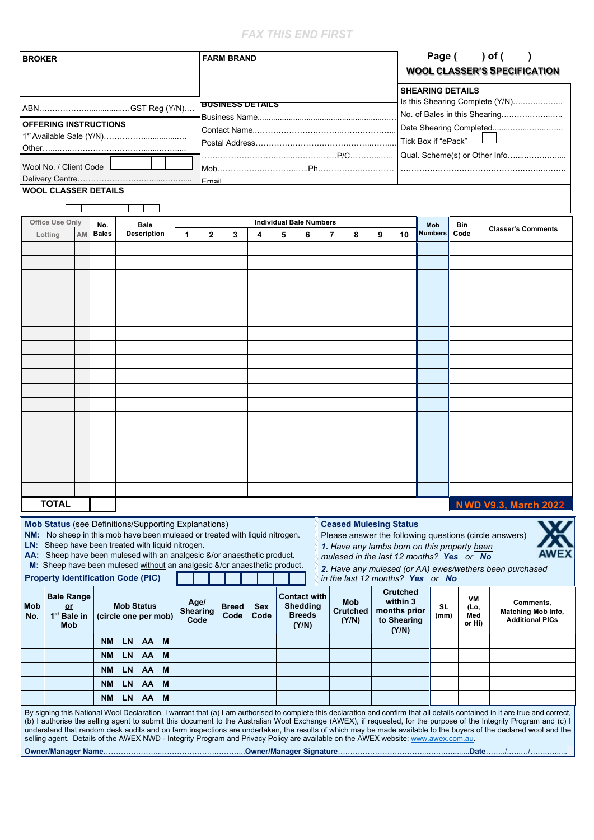#### *FAX THIS END FIRST*

| <b>BROKER</b>                |                                                                                                                                                                                                                                                                                                                                                         |    |                      |                   |                                   |   | <b>FARM BRAND</b>               |              |                         |                    |   |                                                                  |   |                                                                                                                                   |   | Page () of (<br><b>WOOL CLASSER'S SPECIFICATION</b>        |                                                            |             |                                                          |                                                                                                                                                                                                                                                                                                                                                                                                                                                                                                                         |  |
|------------------------------|---------------------------------------------------------------------------------------------------------------------------------------------------------------------------------------------------------------------------------------------------------------------------------------------------------------------------------------------------------|----|----------------------|-------------------|-----------------------------------|---|---------------------------------|--------------|-------------------------|--------------------|---|------------------------------------------------------------------|---|-----------------------------------------------------------------------------------------------------------------------------------|---|------------------------------------------------------------|------------------------------------------------------------|-------------|----------------------------------------------------------|-------------------------------------------------------------------------------------------------------------------------------------------------------------------------------------------------------------------------------------------------------------------------------------------------------------------------------------------------------------------------------------------------------------------------------------------------------------------------------------------------------------------------|--|
|                              |                                                                                                                                                                                                                                                                                                                                                         |    |                      |                   |                                   |   |                                 |              |                         |                    |   |                                                                  |   |                                                                                                                                   |   |                                                            | <b>SHEARING DETAILS</b><br>Is this Shearing Complete (Y/N) |             |                                                          |                                                                                                                                                                                                                                                                                                                                                                                                                                                                                                                         |  |
|                              |                                                                                                                                                                                                                                                                                                                                                         |    |                      |                   |                                   |   |                                 |              | <b>BUSINESS DETAILS</b> |                    |   |                                                                  |   |                                                                                                                                   |   |                                                            |                                                            |             |                                                          |                                                                                                                                                                                                                                                                                                                                                                                                                                                                                                                         |  |
| <b>OFFERING INSTRUCTIONS</b> |                                                                                                                                                                                                                                                                                                                                                         |    |                      |                   |                                   |   |                                 |              |                         |                    |   |                                                                  |   |                                                                                                                                   |   |                                                            |                                                            |             | No. of Bales in this Shearing<br>Date Shearing Completed |                                                                                                                                                                                                                                                                                                                                                                                                                                                                                                                         |  |
|                              |                                                                                                                                                                                                                                                                                                                                                         |    |                      |                   |                                   |   |                                 |              |                         |                    |   |                                                                  |   |                                                                                                                                   |   |                                                            | Tick Box if "ePack"                                        |             |                                                          |                                                                                                                                                                                                                                                                                                                                                                                                                                                                                                                         |  |
|                              |                                                                                                                                                                                                                                                                                                                                                         |    |                      |                   |                                   |   |                                 |              |                         |                    |   |                                                                  |   |                                                                                                                                   |   |                                                            |                                                            |             |                                                          |                                                                                                                                                                                                                                                                                                                                                                                                                                                                                                                         |  |
|                              | Wool No. / Client Code                                                                                                                                                                                                                                                                                                                                  |    |                      |                   |                                   |   |                                 |              |                         |                    |   |                                                                  |   |                                                                                                                                   |   |                                                            |                                                            |             |                                                          |                                                                                                                                                                                                                                                                                                                                                                                                                                                                                                                         |  |
|                              | <b>WOOL CLASSER DETAILS</b>                                                                                                                                                                                                                                                                                                                             |    |                      |                   |                                   |   |                                 | Fmail        |                         |                    |   |                                                                  |   |                                                                                                                                   |   |                                                            |                                                            |             |                                                          |                                                                                                                                                                                                                                                                                                                                                                                                                                                                                                                         |  |
|                              |                                                                                                                                                                                                                                                                                                                                                         |    |                      |                   |                                   |   |                                 |              |                         |                    |   |                                                                  |   |                                                                                                                                   |   |                                                            |                                                            |             |                                                          |                                                                                                                                                                                                                                                                                                                                                                                                                                                                                                                         |  |
|                              |                                                                                                                                                                                                                                                                                                                                                         |    |                      |                   |                                   |   |                                 |              |                         |                    |   |                                                                  |   |                                                                                                                                   |   |                                                            |                                                            |             |                                                          |                                                                                                                                                                                                                                                                                                                                                                                                                                                                                                                         |  |
|                              | <b>Office Use Only</b>                                                                                                                                                                                                                                                                                                                                  | AM | No.<br><b>Bales</b>  |                   | <b>Bale</b><br><b>Description</b> |   | 1                               | $\mathbf{2}$ | 3                       | 4                  | 5 | <b>Individual Bale Numbers</b><br>6                              | 7 | 8                                                                                                                                 | 9 | 10                                                         | Mob<br><b>Numbers</b>                                      | Bin<br>Code |                                                          | <b>Classer's Comments</b>                                                                                                                                                                                                                                                                                                                                                                                                                                                                                               |  |
|                              | Lotting                                                                                                                                                                                                                                                                                                                                                 |    |                      |                   |                                   |   |                                 |              |                         |                    |   |                                                                  |   |                                                                                                                                   |   |                                                            |                                                            |             |                                                          |                                                                                                                                                                                                                                                                                                                                                                                                                                                                                                                         |  |
|                              |                                                                                                                                                                                                                                                                                                                                                         |    |                      |                   |                                   |   |                                 |              |                         |                    |   |                                                                  |   |                                                                                                                                   |   |                                                            |                                                            |             |                                                          |                                                                                                                                                                                                                                                                                                                                                                                                                                                                                                                         |  |
|                              |                                                                                                                                                                                                                                                                                                                                                         |    |                      |                   |                                   |   |                                 |              |                         |                    |   |                                                                  |   |                                                                                                                                   |   |                                                            |                                                            |             |                                                          |                                                                                                                                                                                                                                                                                                                                                                                                                                                                                                                         |  |
|                              |                                                                                                                                                                                                                                                                                                                                                         |    |                      |                   |                                   |   |                                 |              |                         |                    |   |                                                                  |   |                                                                                                                                   |   |                                                            |                                                            |             |                                                          |                                                                                                                                                                                                                                                                                                                                                                                                                                                                                                                         |  |
|                              |                                                                                                                                                                                                                                                                                                                                                         |    |                      |                   |                                   |   |                                 |              |                         |                    |   |                                                                  |   |                                                                                                                                   |   |                                                            |                                                            |             |                                                          |                                                                                                                                                                                                                                                                                                                                                                                                                                                                                                                         |  |
|                              |                                                                                                                                                                                                                                                                                                                                                         |    |                      |                   |                                   |   |                                 |              |                         |                    |   |                                                                  |   |                                                                                                                                   |   |                                                            |                                                            |             |                                                          |                                                                                                                                                                                                                                                                                                                                                                                                                                                                                                                         |  |
|                              |                                                                                                                                                                                                                                                                                                                                                         |    |                      |                   |                                   |   |                                 |              |                         |                    |   |                                                                  |   |                                                                                                                                   |   |                                                            |                                                            |             |                                                          |                                                                                                                                                                                                                                                                                                                                                                                                                                                                                                                         |  |
|                              |                                                                                                                                                                                                                                                                                                                                                         |    |                      |                   |                                   |   |                                 |              |                         |                    |   |                                                                  |   |                                                                                                                                   |   |                                                            |                                                            |             |                                                          |                                                                                                                                                                                                                                                                                                                                                                                                                                                                                                                         |  |
|                              |                                                                                                                                                                                                                                                                                                                                                         |    |                      |                   |                                   |   |                                 |              |                         |                    |   |                                                                  |   |                                                                                                                                   |   |                                                            |                                                            |             |                                                          |                                                                                                                                                                                                                                                                                                                                                                                                                                                                                                                         |  |
|                              |                                                                                                                                                                                                                                                                                                                                                         |    |                      |                   |                                   |   |                                 |              |                         |                    |   |                                                                  |   |                                                                                                                                   |   |                                                            |                                                            |             |                                                          |                                                                                                                                                                                                                                                                                                                                                                                                                                                                                                                         |  |
|                              |                                                                                                                                                                                                                                                                                                                                                         |    |                      |                   |                                   |   |                                 |              |                         |                    |   |                                                                  |   |                                                                                                                                   |   |                                                            |                                                            |             |                                                          |                                                                                                                                                                                                                                                                                                                                                                                                                                                                                                                         |  |
|                              |                                                                                                                                                                                                                                                                                                                                                         |    |                      |                   |                                   |   |                                 |              |                         |                    |   |                                                                  |   |                                                                                                                                   |   |                                                            |                                                            |             |                                                          |                                                                                                                                                                                                                                                                                                                                                                                                                                                                                                                         |  |
|                              |                                                                                                                                                                                                                                                                                                                                                         |    |                      |                   |                                   |   |                                 |              |                         |                    |   |                                                                  |   |                                                                                                                                   |   |                                                            |                                                            |             |                                                          |                                                                                                                                                                                                                                                                                                                                                                                                                                                                                                                         |  |
|                              |                                                                                                                                                                                                                                                                                                                                                         |    |                      |                   |                                   |   |                                 |              |                         |                    |   |                                                                  |   |                                                                                                                                   |   |                                                            |                                                            |             |                                                          |                                                                                                                                                                                                                                                                                                                                                                                                                                                                                                                         |  |
|                              |                                                                                                                                                                                                                                                                                                                                                         |    |                      |                   |                                   |   |                                 |              |                         |                    |   |                                                                  |   |                                                                                                                                   |   |                                                            |                                                            |             |                                                          |                                                                                                                                                                                                                                                                                                                                                                                                                                                                                                                         |  |
|                              |                                                                                                                                                                                                                                                                                                                                                         |    |                      |                   |                                   |   |                                 |              |                         |                    |   |                                                                  |   |                                                                                                                                   |   |                                                            |                                                            |             |                                                          |                                                                                                                                                                                                                                                                                                                                                                                                                                                                                                                         |  |
|                              |                                                                                                                                                                                                                                                                                                                                                         |    |                      |                   |                                   |   |                                 |              |                         |                    |   |                                                                  |   |                                                                                                                                   |   |                                                            |                                                            |             |                                                          |                                                                                                                                                                                                                                                                                                                                                                                                                                                                                                                         |  |
|                              |                                                                                                                                                                                                                                                                                                                                                         |    |                      |                   |                                   |   |                                 |              |                         |                    |   |                                                                  |   |                                                                                                                                   |   |                                                            |                                                            |             |                                                          |                                                                                                                                                                                                                                                                                                                                                                                                                                                                                                                         |  |
|                              |                                                                                                                                                                                                                                                                                                                                                         |    |                      |                   |                                   |   |                                 |              |                         |                    |   |                                                                  |   |                                                                                                                                   |   |                                                            |                                                            |             |                                                          |                                                                                                                                                                                                                                                                                                                                                                                                                                                                                                                         |  |
|                              |                                                                                                                                                                                                                                                                                                                                                         |    |                      |                   |                                   |   |                                 |              |                         |                    |   |                                                                  |   |                                                                                                                                   |   |                                                            |                                                            |             |                                                          |                                                                                                                                                                                                                                                                                                                                                                                                                                                                                                                         |  |
|                              | <b>TOTAL</b>                                                                                                                                                                                                                                                                                                                                            |    |                      |                   |                                   |   |                                 |              |                         |                    |   |                                                                  |   |                                                                                                                                   |   |                                                            |                                                            |             |                                                          |                                                                                                                                                                                                                                                                                                                                                                                                                                                                                                                         |  |
|                              |                                                                                                                                                                                                                                                                                                                                                         |    |                      |                   |                                   |   |                                 |              |                         |                    |   |                                                                  |   |                                                                                                                                   |   |                                                            |                                                            |             |                                                          | <b>NWD V9.3, March 2022</b>                                                                                                                                                                                                                                                                                                                                                                                                                                                                                             |  |
|                              | <b>Mob Status</b> (see Definitions/Supporting Explanations)<br>NM: No sheep in this mob have been mulesed or treated with liquid nitrogen.<br>LN: Sheep have been treated with liquid nitrogen.<br>AA: Sheep have been mulesed with an analgesic &/or anaesthetic product.<br>M: Sheep have been mulesed without an analgesic &/or anaesthetic product. |    |                      |                   |                                   |   |                                 |              |                         |                    |   |                                                                  |   | <b>Ceased Mulesing Status</b><br>1. Have any lambs born on this property been<br>mulesed in the last 12 months? Yes or No         |   |                                                            |                                                            |             |                                                          | Please answer the following questions (circle answers)<br><b>AWEX</b><br>2. Have any mulesed (or AA) ewes/wethers been purchased                                                                                                                                                                                                                                                                                                                                                                                        |  |
|                              | <b>Property Identification Code (PIC)</b>                                                                                                                                                                                                                                                                                                               |    |                      |                   |                                   |   |                                 |              |                         |                    |   |                                                                  |   | in the last 12 months? Yes or No                                                                                                  |   |                                                            |                                                            |             |                                                          |                                                                                                                                                                                                                                                                                                                                                                                                                                                                                                                         |  |
| Mob<br>No.                   | <b>Bale Range</b><br>or<br>1 <sup>st</sup> Bale in<br>Mob                                                                                                                                                                                                                                                                                               |    | (circle one per mob) | <b>Mob Status</b> |                                   |   | Age/<br><b>Shearing</b><br>Code |              | <b>Breed</b><br>Code    | <b>Sex</b><br>Code |   | <b>Contact with</b><br><b>Shedding</b><br><b>Breeds</b><br>(Y/N) |   | Mob<br><b>Crutched</b><br>(Y/N)                                                                                                   |   | <b>Crutched</b><br>within 3<br>months prior<br>to Shearing | SL<br>(mm)                                                 |             | VM<br>(Lo,<br>Med<br>or Hi)                              | Comments,<br><b>Matching Mob Info,</b><br><b>Additional PICs</b>                                                                                                                                                                                                                                                                                                                                                                                                                                                        |  |
|                              |                                                                                                                                                                                                                                                                                                                                                         |    | <b>NM</b>            | <b>LN</b>         | AA                                | M |                                 |              |                         |                    |   |                                                                  |   |                                                                                                                                   |   | (Y/N)                                                      |                                                            |             |                                                          |                                                                                                                                                                                                                                                                                                                                                                                                                                                                                                                         |  |
|                              |                                                                                                                                                                                                                                                                                                                                                         |    |                      |                   |                                   |   |                                 |              |                         |                    |   |                                                                  |   |                                                                                                                                   |   |                                                            |                                                            |             |                                                          |                                                                                                                                                                                                                                                                                                                                                                                                                                                                                                                         |  |
|                              |                                                                                                                                                                                                                                                                                                                                                         |    | <b>NM</b>            | LN                | AA                                | м |                                 |              |                         |                    |   |                                                                  |   |                                                                                                                                   |   |                                                            |                                                            |             |                                                          |                                                                                                                                                                                                                                                                                                                                                                                                                                                                                                                         |  |
|                              |                                                                                                                                                                                                                                                                                                                                                         |    | <b>NM</b>            | <b>LN</b>         | AA                                | M |                                 |              |                         |                    |   |                                                                  |   |                                                                                                                                   |   |                                                            |                                                            |             |                                                          |                                                                                                                                                                                                                                                                                                                                                                                                                                                                                                                         |  |
|                              |                                                                                                                                                                                                                                                                                                                                                         |    | <b>NM</b>            | <b>LN</b>         | AA                                | M |                                 |              |                         |                    |   |                                                                  |   |                                                                                                                                   |   |                                                            |                                                            |             |                                                          |                                                                                                                                                                                                                                                                                                                                                                                                                                                                                                                         |  |
|                              |                                                                                                                                                                                                                                                                                                                                                         |    | <b>NM</b>            | LN.               | AA                                | M |                                 |              |                         |                    |   |                                                                  |   |                                                                                                                                   |   |                                                            |                                                            |             |                                                          |                                                                                                                                                                                                                                                                                                                                                                                                                                                                                                                         |  |
|                              |                                                                                                                                                                                                                                                                                                                                                         |    |                      |                   |                                   |   |                                 |              |                         |                    |   |                                                                  |   | selling agent. Details of the AWEX NWD - Integrity Program and Privacy Policy are available on the AWEX website: www.awex.com.au. |   |                                                            |                                                            |             |                                                          | By signing this National Wool Declaration, I warrant that (a) I am authorised to complete this declaration and confirm that all details contained in it are true and correct,<br>(b) I authorise the selling agent to submit this document to the Australian Wool Exchange (AWEX), if requested, for the purpose of the Integrity Program and (c) I<br>understand that random desk audits and on farm inspections are undertaken, the results of which may be made available to the buyers of the declared wool and the |  |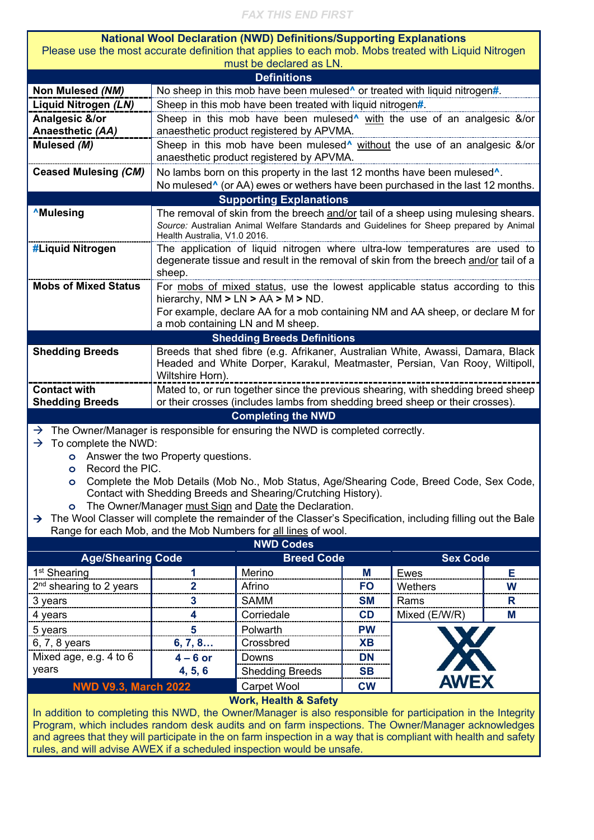#### *FAX THIS END FIRST*

|                                                                                                                                                                                                                    |                                                                                                                                                                                                              | <b>National Wool Declaration (NWD) Definitions/Supporting Explanations</b> |           |               |   |  |  |  |  |  |  |  |
|--------------------------------------------------------------------------------------------------------------------------------------------------------------------------------------------------------------------|--------------------------------------------------------------------------------------------------------------------------------------------------------------------------------------------------------------|----------------------------------------------------------------------------|-----------|---------------|---|--|--|--|--|--|--|--|
| Please use the most accurate definition that applies to each mob. Mobs treated with Liquid Nitrogen                                                                                                                |                                                                                                                                                                                                              |                                                                            |           |               |   |  |  |  |  |  |  |  |
| must be declared as LN.                                                                                                                                                                                            |                                                                                                                                                                                                              |                                                                            |           |               |   |  |  |  |  |  |  |  |
| <b>Definitions</b>                                                                                                                                                                                                 |                                                                                                                                                                                                              |                                                                            |           |               |   |  |  |  |  |  |  |  |
| Non Mulesed (NM)                                                                                                                                                                                                   | No sheep in this mob have been mulesed <sup><math>\wedge</math></sup> or treated with liquid nitrogen#.                                                                                                      |                                                                            |           |               |   |  |  |  |  |  |  |  |
| Liquid Nitrogen (LN)                                                                                                                                                                                               | Sheep in this mob have been treated with liquid nitrogen#.                                                                                                                                                   |                                                                            |           |               |   |  |  |  |  |  |  |  |
| Analgesic &/or<br>Anaesthetic (AA)                                                                                                                                                                                 | Sheep in this mob have been mulesed <sup>^</sup> with the use of an analgesic &/or<br>anaesthetic product registered by APVMA.                                                                               |                                                                            |           |               |   |  |  |  |  |  |  |  |
| Mulesed (M)                                                                                                                                                                                                        | Sheep in this mob have been mulesed <sup>*</sup> without the use of an analgesic &/or<br>anaesthetic product registered by APVMA.                                                                            |                                                                            |           |               |   |  |  |  |  |  |  |  |
| <b>Ceased Mulesing (CM)</b>                                                                                                                                                                                        | No lambs born on this property in the last 12 months have been mulesed <sup>^</sup> .                                                                                                                        |                                                                            |           |               |   |  |  |  |  |  |  |  |
|                                                                                                                                                                                                                    | No mulesed <sup>^</sup> (or AA) ewes or wethers have been purchased in the last 12 months.                                                                                                                   |                                                                            |           |               |   |  |  |  |  |  |  |  |
| <b>Supporting Explanations</b>                                                                                                                                                                                     |                                                                                                                                                                                                              |                                                                            |           |               |   |  |  |  |  |  |  |  |
| <b>AMulesing</b>                                                                                                                                                                                                   | The removal of skin from the breech and/or tail of a sheep using mulesing shears.<br>Source: Australian Animal Welfare Standards and Guidelines for Sheep prepared by Animal<br>Health Australia, V1.0 2016. |                                                                            |           |               |   |  |  |  |  |  |  |  |
| #Liquid Nitrogen                                                                                                                                                                                                   | The application of liquid nitrogen where ultra-low temperatures are used to<br>degenerate tissue and result in the removal of skin from the breech and/or tail of a<br>sheep.                                |                                                                            |           |               |   |  |  |  |  |  |  |  |
| <b>Mobs of Mixed Status</b>                                                                                                                                                                                        | For mobs of mixed status, use the lowest applicable status according to this<br>hierarchy, $NM > LN > AA > M > ND$ .<br>For example, declare AA for a mob containing NM and AA sheep, or declare M for       |                                                                            |           |               |   |  |  |  |  |  |  |  |
| a mob containing LN and M sheep.                                                                                                                                                                                   |                                                                                                                                                                                                              |                                                                            |           |               |   |  |  |  |  |  |  |  |
| <b>Shedding Breeds Definitions</b>                                                                                                                                                                                 |                                                                                                                                                                                                              |                                                                            |           |               |   |  |  |  |  |  |  |  |
| <b>Shedding Breeds</b>                                                                                                                                                                                             | Breeds that shed fibre (e.g. Afrikaner, Australian White, Awassi, Damara, Black                                                                                                                              |                                                                            |           |               |   |  |  |  |  |  |  |  |
|                                                                                                                                                                                                                    | Headed and White Dorper, Karakul, Meatmaster, Persian, Van Rooy, Wiltipoll,<br>Wiltshire Horn).                                                                                                              |                                                                            |           |               |   |  |  |  |  |  |  |  |
| <b>Contact with</b>                                                                                                                                                                                                | Mated to, or run together since the previous shearing, with shedding breed sheep                                                                                                                             |                                                                            |           |               |   |  |  |  |  |  |  |  |
| <b>Shedding Breeds</b>                                                                                                                                                                                             | or their crosses (includes lambs from shedding breed sheep or their crosses).                                                                                                                                |                                                                            |           |               |   |  |  |  |  |  |  |  |
| <b>Completing the NWD</b>                                                                                                                                                                                          |                                                                                                                                                                                                              |                                                                            |           |               |   |  |  |  |  |  |  |  |
| The Owner/Manager is responsible for ensuring the NWD is completed correctly.<br>$\rightarrow$                                                                                                                     |                                                                                                                                                                                                              |                                                                            |           |               |   |  |  |  |  |  |  |  |
| To complete the NWD:<br>$\rightarrow$                                                                                                                                                                              |                                                                                                                                                                                                              |                                                                            |           |               |   |  |  |  |  |  |  |  |
|                                                                                                                                                                                                                    | <b>o</b> Answer the two Property questions.                                                                                                                                                                  |                                                                            |           |               |   |  |  |  |  |  |  |  |
| Record the PIC.<br>$\circ$                                                                                                                                                                                         |                                                                                                                                                                                                              |                                                                            |           |               |   |  |  |  |  |  |  |  |
| Complete the Mob Details (Mob No., Mob Status, Age/Shearing Code, Breed Code, Sex Code,                                                                                                                            |                                                                                                                                                                                                              |                                                                            |           |               |   |  |  |  |  |  |  |  |
| Contact with Shedding Breeds and Shearing/Crutching History).                                                                                                                                                      |                                                                                                                                                                                                              |                                                                            |           |               |   |  |  |  |  |  |  |  |
| The Owner/Manager must Sign and Date the Declaration.<br>$\bullet$                                                                                                                                                 |                                                                                                                                                                                                              |                                                                            |           |               |   |  |  |  |  |  |  |  |
| The Wool Classer will complete the remainder of the Classer's Specification, including filling out the Bale<br>$\rightarrow$                                                                                       |                                                                                                                                                                                                              |                                                                            |           |               |   |  |  |  |  |  |  |  |
| Range for each Mob, and the Mob Numbers for all lines of wool.<br><b>NWD Codes</b>                                                                                                                                 |                                                                                                                                                                                                              |                                                                            |           |               |   |  |  |  |  |  |  |  |
| <b>Breed Code</b><br><b>Sex Code</b><br><b>Age/Shearing Code</b>                                                                                                                                                   |                                                                                                                                                                                                              |                                                                            |           |               |   |  |  |  |  |  |  |  |
| 1 <sup>st</sup> Shearing                                                                                                                                                                                           | 1                                                                                                                                                                                                            | Merino                                                                     | Μ         | <b>Ewes</b>   | Е |  |  |  |  |  |  |  |
| 2 <sup>nd</sup> shearing to 2 years                                                                                                                                                                                | 2                                                                                                                                                                                                            | Afrino                                                                     | <b>FO</b> | Wethers       | W |  |  |  |  |  |  |  |
| 3 years                                                                                                                                                                                                            | 3                                                                                                                                                                                                            | <b>SAMM</b>                                                                | <b>SM</b> | Rams          | R |  |  |  |  |  |  |  |
| 4 years                                                                                                                                                                                                            | 4                                                                                                                                                                                                            | Corriedale                                                                 | CD        | Mixed (E/W/R) | M |  |  |  |  |  |  |  |
| 5 years                                                                                                                                                                                                            | 5                                                                                                                                                                                                            | Polwarth                                                                   | <b>PW</b> |               |   |  |  |  |  |  |  |  |
| 6, 7, 8 years                                                                                                                                                                                                      | 6, 7, 8                                                                                                                                                                                                      | Crossbred                                                                  | <b>XB</b> |               |   |  |  |  |  |  |  |  |
| Mixed age, e.g. 4 to 6                                                                                                                                                                                             | $4 - 6$ or                                                                                                                                                                                                   | Downs                                                                      |           |               |   |  |  |  |  |  |  |  |
| years                                                                                                                                                                                                              | 4, 5, 6                                                                                                                                                                                                      | <b>Shedding Breeds</b>                                                     |           |               |   |  |  |  |  |  |  |  |
| <b>NWD V9.3, March 2022</b>                                                                                                                                                                                        | <b>AWEX</b>                                                                                                                                                                                                  |                                                                            |           |               |   |  |  |  |  |  |  |  |
|                                                                                                                                                                                                                    |                                                                                                                                                                                                              | Carpet Wool<br><b>Work, Health &amp; Safety</b>                            | <b>CW</b> |               |   |  |  |  |  |  |  |  |
| In addition to completing this NWD, the Owner/Manager is also responsible for participation in the Integrity<br>Program, which includes random desk audits and on farm inspections. The Owner/Manager acknowledges |                                                                                                                                                                                                              |                                                                            |           |               |   |  |  |  |  |  |  |  |

Program, which includes random desk audits and on farm inspections. The Owner/Manager acknowledges and agrees that they will participate in the on farm inspection in a way that is compliant with health and safety rules, and will advise AWEX if a scheduled inspection would be unsafe.